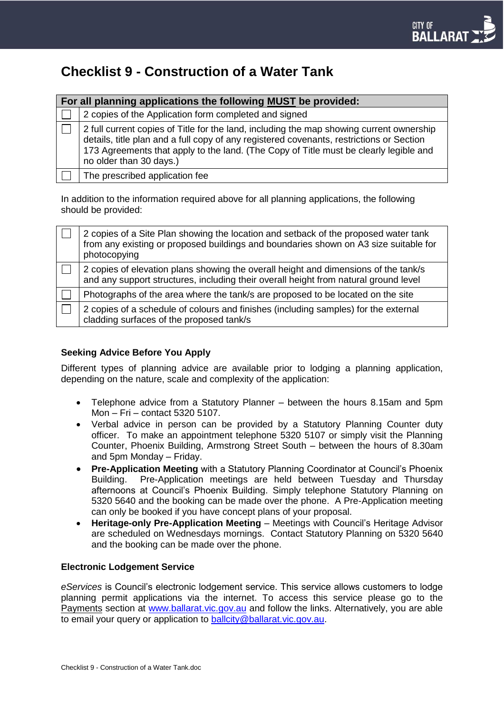# **Checklist 9 - Construction of a Water Tank**

| For all planning applications the following MUST be provided: |                                                                                                                                                                                                                                                                                                          |
|---------------------------------------------------------------|----------------------------------------------------------------------------------------------------------------------------------------------------------------------------------------------------------------------------------------------------------------------------------------------------------|
|                                                               | 2 copies of the Application form completed and signed                                                                                                                                                                                                                                                    |
|                                                               | 2 full current copies of Title for the land, including the map showing current ownership<br>details, title plan and a full copy of any registered covenants, restrictions or Section<br>173 Agreements that apply to the land. (The Copy of Title must be clearly legible and<br>no older than 30 days.) |
|                                                               | The prescribed application fee                                                                                                                                                                                                                                                                           |

In addition to the information required above for all planning applications, the following should be provided:

| 2 copies of a Site Plan showing the location and setback of the proposed water tank<br>from any existing or proposed buildings and boundaries shown on A3 size suitable for<br>photocopying |
|---------------------------------------------------------------------------------------------------------------------------------------------------------------------------------------------|
| 2 copies of elevation plans showing the overall height and dimensions of the tank/s<br>and any support structures, including their overall height from natural ground level                 |
| Photographs of the area where the tank/s are proposed to be located on the site                                                                                                             |
| 2 copies of a schedule of colours and finishes (including samples) for the external<br>cladding surfaces of the proposed tank/s                                                             |

## **Seeking Advice Before You Apply**

Different types of planning advice are available prior to lodging a planning application, depending on the nature, scale and complexity of the application:

- Telephone advice from a Statutory Planner between the hours 8.15am and 5pm Mon – Fri – contact 5320 5107.
- Verbal advice in person can be provided by a Statutory Planning Counter duty officer. To make an appointment telephone 5320 5107 or simply visit the Planning Counter, Phoenix Building, Armstrong Street South – between the hours of 8.30am and 5pm Monday – Friday.
- **Pre-Application Meeting** with a Statutory Planning Coordinator at Council's Phoenix Building. Pre-Application meetings are held between Tuesday and Thursday afternoons at Council's Phoenix Building. Simply telephone Statutory Planning on 5320 5640 and the booking can be made over the phone. A Pre-Application meeting can only be booked if you have concept plans of your proposal.
- **Heritage-only Pre-Application Meeting**  Meetings with Council's Heritage Advisor are scheduled on Wednesdays mornings.Contact Statutory Planning on 5320 5640 and the booking can be made over the phone.

#### **Electronic Lodgement Service**

*eServices* is Council's electronic lodgement service. This service allows customers to lodge planning permit applications via the internet. To access this service please go to the Payments section at [www.ballarat.vic.gov.au](http://www.ballarat.vic.gov.au/) and follow the links. Alternatively, you are able to email your query or application to [ballcity@ballarat.vic.gov.au.](mailto:ballcity@ballarat.vic.gov.au)